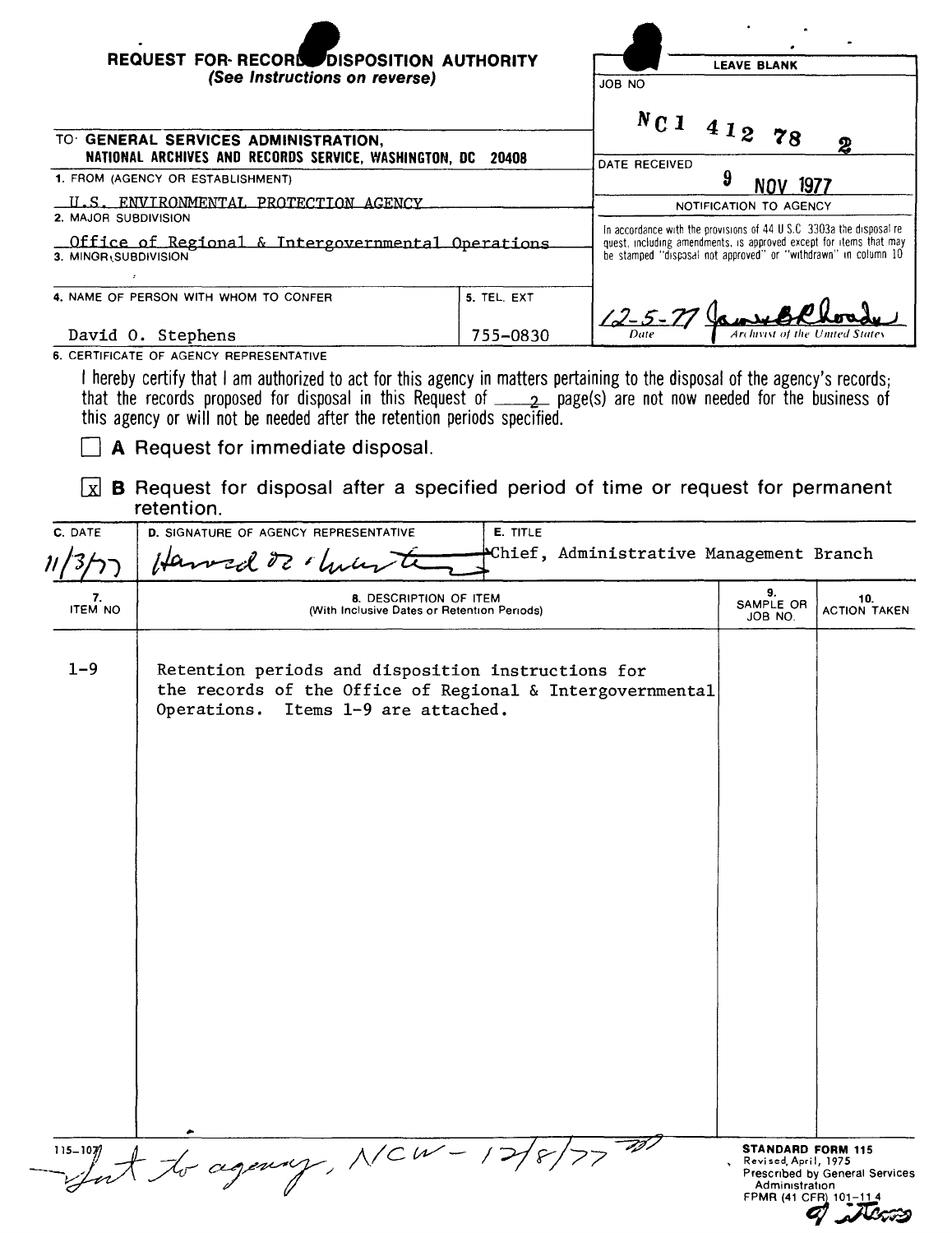| <b>REQUEST FOR RECORD DISPOSITION AUTHORITY</b><br>(See Instructions on reverse)                                   |             | <b>LEAVE BLANK</b><br>JOB NO                                                                                                                                                                                  |  |  |
|--------------------------------------------------------------------------------------------------------------------|-------------|---------------------------------------------------------------------------------------------------------------------------------------------------------------------------------------------------------------|--|--|
| TO GENERAL SERVICES ADMINISTRATION,<br>NATIONAL ARCHIVES AND RECORDS SERVICE, WASHINGTON, DC                       | 20408       | Nc1<br>412<br>78<br>$\boldsymbol{2}$<br>DATE RECEIVED                                                                                                                                                         |  |  |
| 1. FROM (AGENCY OR ESTABLISHMENT)                                                                                  |             | 9<br>1977                                                                                                                                                                                                     |  |  |
| U.S. ENVIRONMENTAL PROTECTION AGENCY                                                                               |             | NOTIFICATION TO AGENCY                                                                                                                                                                                        |  |  |
| <b>2. MAJOR SUBDIVISION</b><br>$\Gamma$ Office of Regional & Intergovernmental Operations.<br>3. MINOR SUBDIVISION |             | In accordance with the provisions of 44 U.S.C. 3303a the disposal re-<br>quest, including amendments, is approved except for items that may<br>be stamped "discosal not approved" or "withdrawn" in column 10 |  |  |
| 4. NAME OF PERSON WITH WHOM TO CONFER                                                                              | 5. TEL. EXT | $12 - 5 - 71$                                                                                                                                                                                                 |  |  |
| David O. Stephens                                                                                                  | 755-0830    | <b>Archivist of the United States</b><br>Date                                                                                                                                                                 |  |  |
| 6. CERTIFICATE OF AGENCY REPRESENTATIVE                                                                            |             |                                                                                                                                                                                                               |  |  |

I hereby certify that I am authorized to act for this agency in matters pertaining to the disposal of the agency's records; that the records proposed for disposal in this Request of \_\_\_\_\_2\_ page(s) are not now needed for the business of this agency or will not be needed after the retention periods specified.

 $\Box$  A Request for immediate disposal.

 $\boxed{\mathbf{x}}$  **B** Request for disposal after a specified period of time or request for permanent retention.

| C. DATE              | E. TITLE<br>D. SIGNATURE OF AGENCY REPRESENTATIVE<br>Chief, Administrative Management Branch<br>Harvad of chiles                                          |                                                  |                                |
|----------------------|-----------------------------------------------------------------------------------------------------------------------------------------------------------|--------------------------------------------------|--------------------------------|
| 7.<br><b>ITEM NO</b> | 8. DESCRIPTION OF ITEM<br>(With Inclusive Dates or Retention Periods)                                                                                     | 9.<br>SAMPLE OR<br>JOB NO.                       | 10.<br><b>ACTION TAKEN</b>     |
| $1 - 9$              | Retention periods and disposition instructions for<br>the records of the Office of Regional & Intergovernmental<br>Operations.<br>Items 1-9 are attached. |                                                  |                                |
| $115 - 107/$         | -agency, NCW-                                                                                                                                             | <b>STANDARD FORM 115</b><br>Revised, April, 1975 |                                |
|                      |                                                                                                                                                           | Administration<br>FPMR (41 CFR) 101-114          | Prescribed by General Services |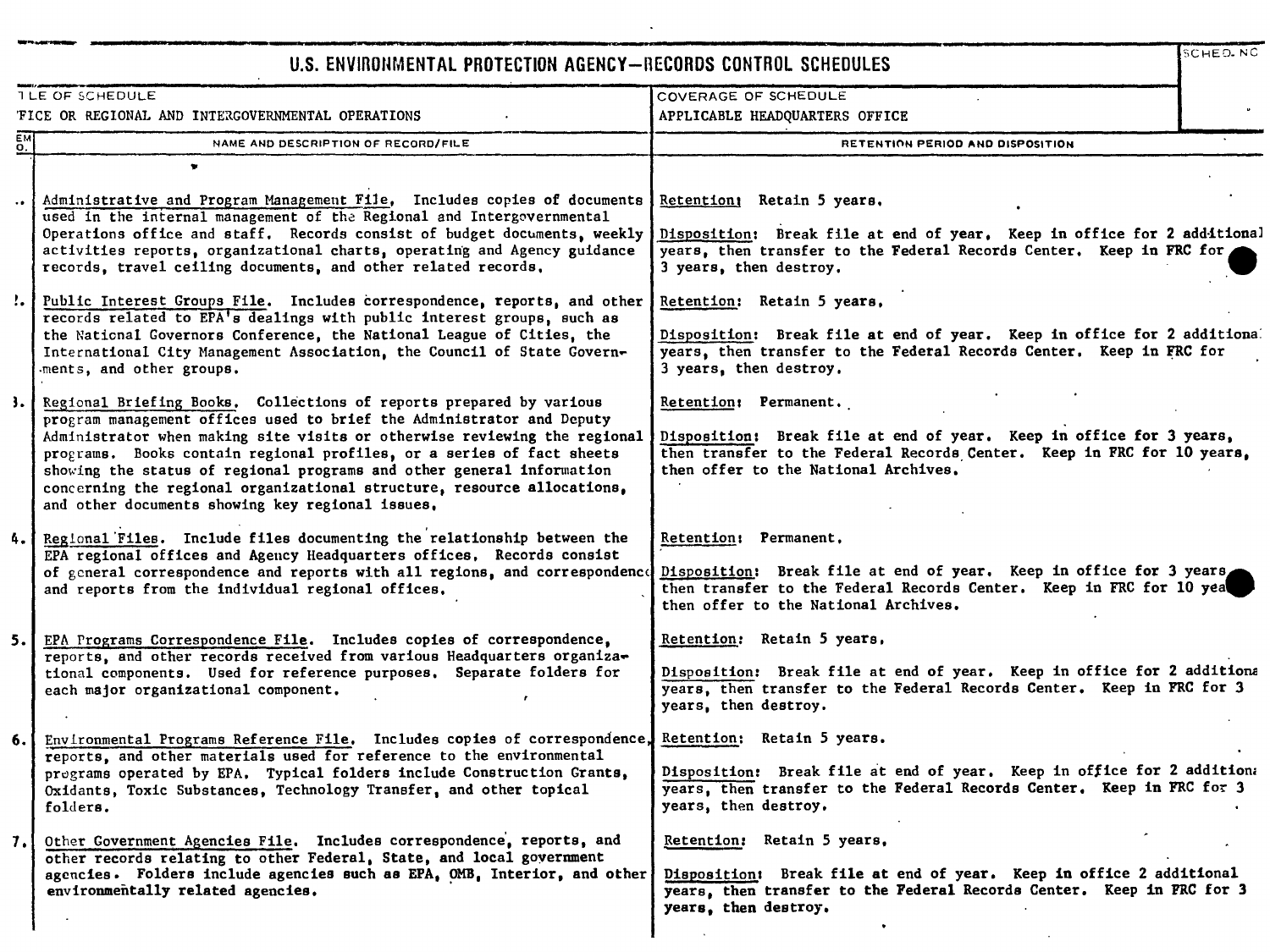## u.s. ENVIRONMENTAL PROTECTION AGENCY-BECORDS CONTROL SCHEDULES

|                      | U.S. ENVIRONMENTAL PROTECTION AGENCY-RECORDS CONTROL SCHEDULES                                                                                                                                                                                                                                                                                                                                                                                                                                                |                                                                                                                                                                                                                | SCHEO NC |
|----------------------|---------------------------------------------------------------------------------------------------------------------------------------------------------------------------------------------------------------------------------------------------------------------------------------------------------------------------------------------------------------------------------------------------------------------------------------------------------------------------------------------------------------|----------------------------------------------------------------------------------------------------------------------------------------------------------------------------------------------------------------|----------|
|                      | TLE OF SCHEDULE                                                                                                                                                                                                                                                                                                                                                                                                                                                                                               | COVERAGE OF SCHEDULE                                                                                                                                                                                           |          |
|                      | FICE OR REGIONAL AND INTERGOVERNMENTAL OPERATIONS                                                                                                                                                                                                                                                                                                                                                                                                                                                             | APPLICABLE HEADQUARTERS OFFICE                                                                                                                                                                                 |          |
| о.                   | NAME AND DESCRIPTION OF RECORD/FILE                                                                                                                                                                                                                                                                                                                                                                                                                                                                           | RETENTION PERIOD AND DISPOSITION                                                                                                                                                                               |          |
|                      |                                                                                                                                                                                                                                                                                                                                                                                                                                                                                                               |                                                                                                                                                                                                                |          |
| $\ddot{\phantom{1}}$ | Administrative and Program Management File, Includes copies of documents<br>used in the internal management of the Regional and Intergovernmental<br>Operations office and staff. Records consist of budget documents, weekly                                                                                                                                                                                                                                                                                 | Retention: Retain 5 years.<br>Disposition: Break file at end of year. Keep in office for 2 additional                                                                                                          |          |
|                      | activities reports, organizational charts, operating and Agency guidance<br>records, travel ceiling documents, and other related records.                                                                                                                                                                                                                                                                                                                                                                     | years, then transfer to the Federal Records Center. Keep in FRC for<br>3 years, then destroy.                                                                                                                  |          |
|                      | :. Public Interest Groups File. Includes correspondence, reports, and other<br>records related to EPA's dealings with public interest groups, such as                                                                                                                                                                                                                                                                                                                                                         | Retention: Retain 5 years,                                                                                                                                                                                     |          |
|                      | the National Governors Conference, the National League of Cities, the<br>International City Management Association, the Council of State Govern-<br>ments, and other groups.                                                                                                                                                                                                                                                                                                                                  | Disposition: Break file at end of year. Keep in office for 2 additional<br>years, then transfer to the Federal Records Center. Keep in FRC for<br>3 years, then destroy.                                       |          |
|                      | 3. Regional Briefing Books. Collections of reports prepared by various<br>program management offices used to brief the Administrator and Deputy<br>Administrator when making site visits or otherwise reviewing the regional<br>programs. Books contain regional profiles, or a series of fact sheets<br>showing the status of regional programs and other general information<br>concerning the regional organizational structure, resource allocations,<br>and other documents showing key regional issues, | Retention: Permanent.<br>Disposition: Break file at end of year. Keep in office for 3 years,<br>then transfer to the Federal Records Center. Keep in FRC for 10 years.<br>then offer to the National Archives, |          |
|                      | 4. Regional Files. Include files documenting the relationship between the<br>EPA regional offices and Agency Headquarters offices. Records consist<br>of general correspondence and reports with all regions, and correspondence                                                                                                                                                                                                                                                                              | Retention: Permanent.<br>Disposition: Break file at end of year. Keep in office for 3 years                                                                                                                    |          |
|                      | and reports from the individual regional offices.                                                                                                                                                                                                                                                                                                                                                                                                                                                             | then transfer to the Federal Records Center. Keep in FRC for 10 yea<br>then offer to the National Archives.                                                                                                    |          |
| 5. I                 | EPA Programs Correspondence File. Includes copies of correspondence,                                                                                                                                                                                                                                                                                                                                                                                                                                          | Retention: Retain 5 years,                                                                                                                                                                                     |          |
|                      | reports, and other records received from various Headquarters organiza-<br>tional components. Used for reference purposes. Separate folders for<br>each major organizational component.<br>,                                                                                                                                                                                                                                                                                                                  | Disposition: Break file at end of year. Keep in office for 2 additional<br>years, then transfer to the Federal Records Center. Keep in FRC for 3<br>years, then destroy.                                       |          |
| 6.                   | Environmental Programs Reference File. Includes copies of correspondence,<br>reports, and other materials used for reference to the environmental                                                                                                                                                                                                                                                                                                                                                             | Retention: Retain 5 years.                                                                                                                                                                                     |          |
|                      | pregrams operated by EPA. Typical folders include Construction Grants,<br>Oxidants, Toxic Substances, Technology Transfer, and other topical<br>folders.                                                                                                                                                                                                                                                                                                                                                      | Disposition: Break file at end of year. Keep in office for 2 addition:<br>years, then transfer to the Federal Records Center. Keep in FRC for 3<br>years, then destroy.                                        |          |
| $\mathbf{7}$         | Other Government Agencies File. Includes correspondence, reports, and<br>other records relating to other Federal, State, and local government                                                                                                                                                                                                                                                                                                                                                                 | Retention: Retain 5 years.                                                                                                                                                                                     |          |
|                      | agencies. Folders include agencies such as EPA, OMB, Interior, and other<br>environmentally related agencies.                                                                                                                                                                                                                                                                                                                                                                                                 | Disposition: Break file at end of year. Keep in office 2 additional<br>years, then transfer to the Federal Records Center. Keep in FRC for 3<br>years, then destroy.                                           |          |
|                      |                                                                                                                                                                                                                                                                                                                                                                                                                                                                                                               |                                                                                                                                                                                                                |          |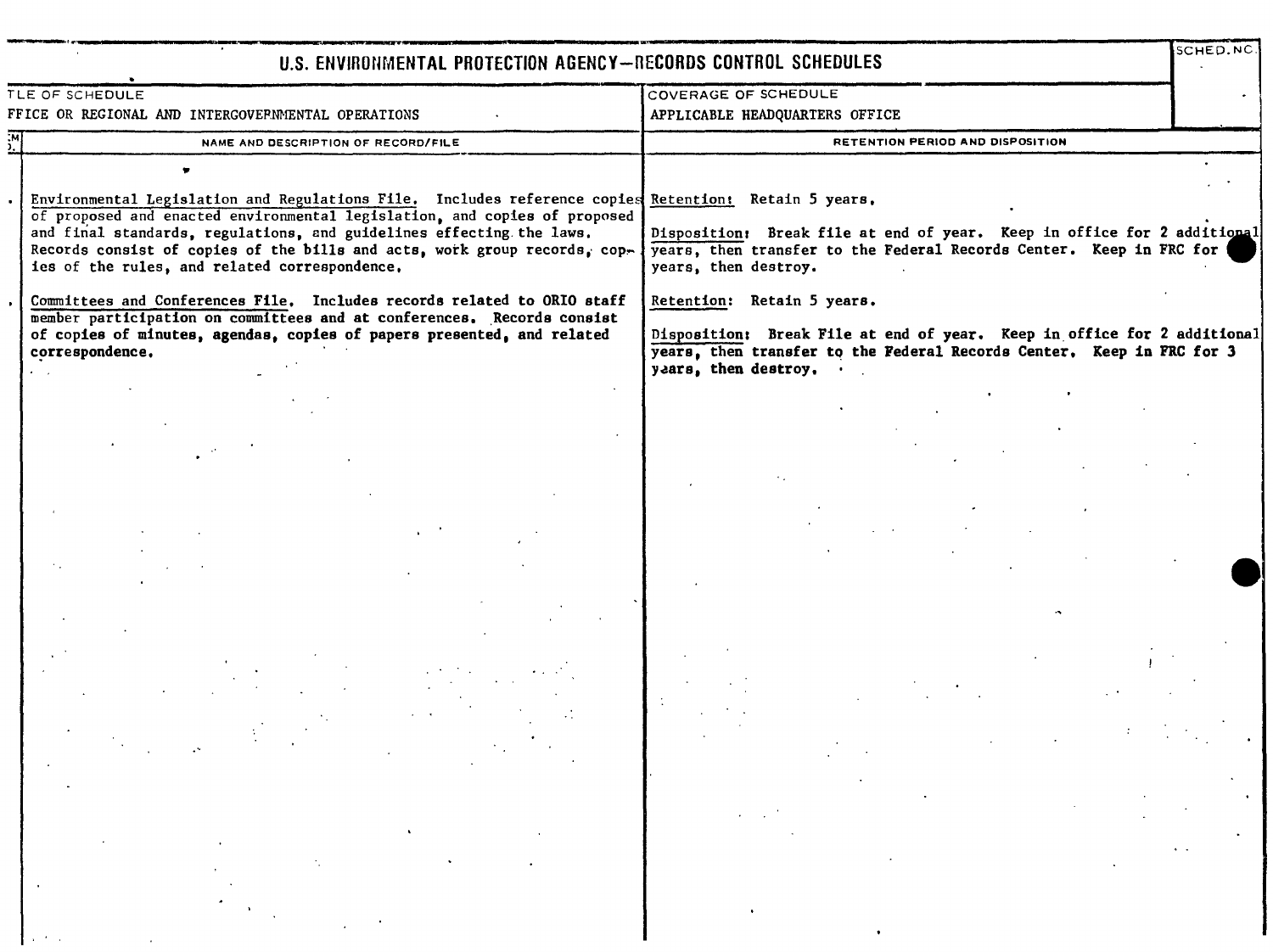| U.S. ENVIRONMENTAL PROTECTION AGENCY-RECORDS CONTROL SCHEDULES                                                                                                                                                                                                                                                                                                                          |                                                                                                                                                                          | SCHED.NC.             |
|-----------------------------------------------------------------------------------------------------------------------------------------------------------------------------------------------------------------------------------------------------------------------------------------------------------------------------------------------------------------------------------------|--------------------------------------------------------------------------------------------------------------------------------------------------------------------------|-----------------------|
| TLE OF SCHEDULE                                                                                                                                                                                                                                                                                                                                                                         | <b>COVERAGE OF SCHEDULE</b>                                                                                                                                              |                       |
| FFICE OR REGIONAL AND INTERGOVERNMENTAL OPERATIONS                                                                                                                                                                                                                                                                                                                                      | APPLICABLE HEADQUARTERS OFFICE                                                                                                                                           |                       |
| $\mathbf{y}^{\mathsf{M}}$<br>NAME AND DESCRIPTION OF RECORD/FILE                                                                                                                                                                                                                                                                                                                        | RETENTION PERIOD AND DISPOSITION                                                                                                                                         |                       |
|                                                                                                                                                                                                                                                                                                                                                                                         |                                                                                                                                                                          |                       |
| Environmental Legislation and Regulations File. Includes reference copies Retention: Retain 5 years.<br>of proposed and enacted environmental legislation, and copies of proposed<br>and final standards, regulations, and guidelines effecting the laws.<br>Records consist of copies of the bills and acts, work group records, cop-<br>ies of the rules, and related correspondence. | Disposition: Break file at end of year. Keep in office for 2 additional<br>years, then transfer to the Federal Records Center. Keep in FRC for<br>years, then destroy.   |                       |
| Committees and Conferences File. Includes records related to ORIO staff                                                                                                                                                                                                                                                                                                                 | Retention: Retain 5 years.                                                                                                                                               |                       |
| member participation on committees and at conferences. Records consist<br>of copies of minutes, agendas, copies of papers presented, and related<br>correspondence.                                                                                                                                                                                                                     | Disposition: Break File at end of year. Keep in office for 2 additional<br>years, then transfer to the Federal Records Center. Keep in FRC for 3<br>years, then destroy. |                       |
|                                                                                                                                                                                                                                                                                                                                                                                         |                                                                                                                                                                          |                       |
|                                                                                                                                                                                                                                                                                                                                                                                         |                                                                                                                                                                          | $\sigma$ , $\sigma$ , |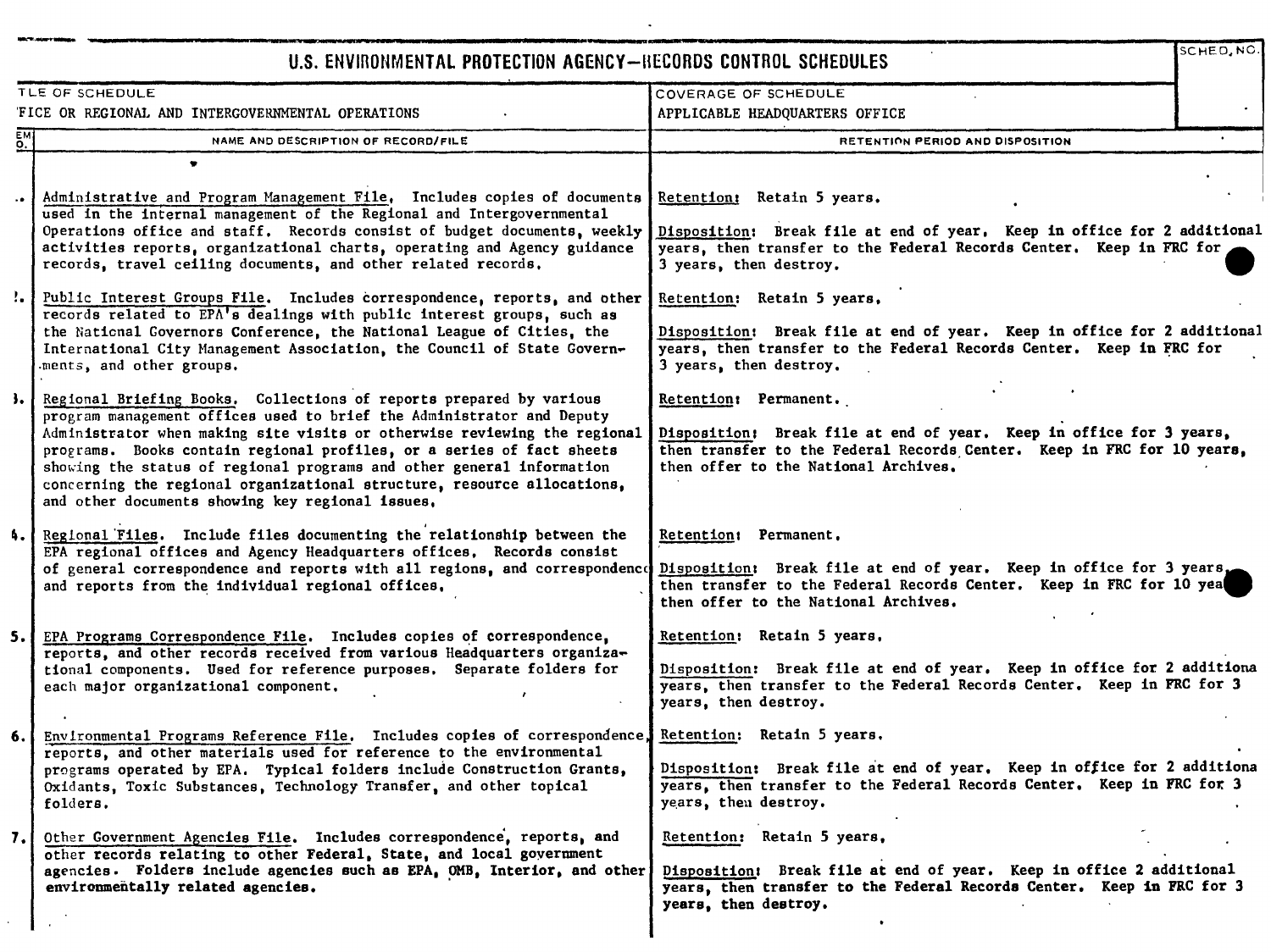## U.S. ENVIRONMENTAL PROTECTION AGENCY-BECORDS CONTROL SCHEDULES

SCHED.NC

| COVERAGE OF SCHEDULE                                                 |                                                                                                                                                                                                                                                                                                                                                                                                                                                                                                               |                                                                                                                                                                                                                |  |
|----------------------------------------------------------------------|---------------------------------------------------------------------------------------------------------------------------------------------------------------------------------------------------------------------------------------------------------------------------------------------------------------------------------------------------------------------------------------------------------------------------------------------------------------------------------------------------------------|----------------------------------------------------------------------------------------------------------------------------------------------------------------------------------------------------------------|--|
| TLE OF SCHEDULE<br>FICE OR REGIONAL AND INTERGOVERNMENTAL OPERATIONS |                                                                                                                                                                                                                                                                                                                                                                                                                                                                                                               | APPLICABLE HEADQUARTERS OFFICE                                                                                                                                                                                 |  |
| $\overline{5M}$                                                      | NAME AND DESCRIPTION OF RECORD/FILE                                                                                                                                                                                                                                                                                                                                                                                                                                                                           | RETENTION PERIOD AND DISPOSITION                                                                                                                                                                               |  |
|                                                                      | ÷                                                                                                                                                                                                                                                                                                                                                                                                                                                                                                             |                                                                                                                                                                                                                |  |
|                                                                      | Administrative and Program Management File, Includes copies of documents<br>used in the internal management of the Regional and Intergovernmental<br>Operations office and staff. Records consist of budget documents, weekly<br>activities reports, organizational charts, operating and Agency guidance<br>records, travel ceiling documents, and other related records.                                                                                                                                    | Retention: Retain 5 years.<br>Disposition: Break file at end of year. Keep in office for 2 additional<br>years, then transfer to the Federal Records Center. Keep in FRC for<br>3 years, then destroy.         |  |
|                                                                      | ". Public Interest Groups File. Includes correspondence, reports, and other<br>records related to EPA's dealings with public interest groups, such as<br>the National Governors Conference, the National League of Cities, the<br>International City Management Association, the Council of State Govern-<br>ments, and other groups.                                                                                                                                                                         | Retention: Retain 5 years,<br>Disposition: Break file at end of year. Keep in office for 2 additional<br>years, then transfer to the Federal Records Center. Keep in FRC for<br>3 years, then destroy.         |  |
|                                                                      | 3. Regional Briefing Books. Collections of reports prepared by various<br>program management offices used to brief the Administrator and Deputy<br>Administrator when making site visits or otherwise reviewing the regional<br>programs. Books contain regional profiles, or a series of fact sheets<br>showing the status of regional programs and other general information<br>concerning the regional organizational structure, resource allocations,<br>and other documents showing key regional issues, | Retention: Permanent.<br>Disposition: Break file at end of year. Keep in office for 3 years,<br>then transfer to the Federal Records Center. Keep in FRC for 10 years,<br>then offer to the National Archives, |  |
| 4.1                                                                  | Regional Files. Include files documenting the relationship between the<br>EPA regional offices and Agency Headquarters offices, Records consist<br>of general correspondence and reports with all regions, and correspondence<br>and reports from the individual regional offices,                                                                                                                                                                                                                            | Retention: Permanent.<br>Disposition: Break file at end of year. Keep in office for 3 years.<br>then transfer to the Federal Records Center. Keep in FRC for 10 yea<br>then offer to the National Archives.    |  |
| 5.1                                                                  | EPA Programs Correspondence File. Includes copies of correspondence,<br>reports, and other records received from various Headquarters organiza-<br>tional components. Used for reference purposes. Separate folders for<br>each major organizational component.                                                                                                                                                                                                                                               | Retention: Retain 5 years.<br>Disposition: Break file at end of year. Keep in office for 2 additiona<br>years, then transfer to the Federal Records Center. Keep in FRC for 3<br>years, then destroy.          |  |
| 6. I                                                                 | Environmental Programs Reference File. Includes copies of correspondence,<br>reports, and other materials used for reference to the environmental<br>programs operated by EPA. Typical folders include Construction Grants,<br>Oxidants, Toxic Substances, Technology Transfer, and other topical<br>folders.                                                                                                                                                                                                 | Retention: Retain 5 years.<br>Disposition: Break file at end of year. Keep in office for 2 additiona<br>years, then transfer to the Federal Records Center. Keep in FRC for 3<br>years, then destroy.          |  |
| 7.1                                                                  | Other Government Agencies File. Includes correspondence, reports, and<br>other records relating to other Federal, State, and local government<br>agencies. Folders include agencies such as EPA, OMB, Interior, and other<br>environmentally related agencies.                                                                                                                                                                                                                                                | Retention: Retain 5 years,<br>Disposition: Break file at end of year. Keep in office 2 additional<br>years, then transfer to the Federal Records Center. Keep in FRC for 3<br>years, then destroy.<br>٠        |  |